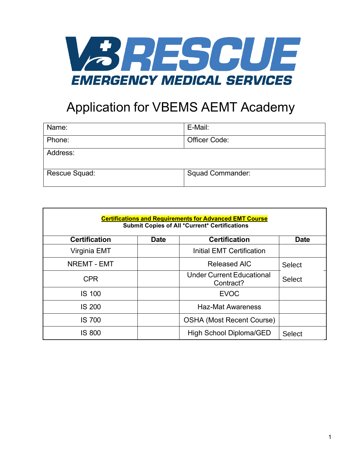

## Application for VBEMS AEMT Academy

| Name:         | E-Mail:                 |
|---------------|-------------------------|
| Phone:        | Officer Code:           |
| Address:      |                         |
| Rescue Squad: | <b>Squad Commander:</b> |

| <b>Certifications and Requirements for Advanced EMT Course</b><br><b>Submit Copies of All *Current* Certifications</b> |             |                                               |               |
|------------------------------------------------------------------------------------------------------------------------|-------------|-----------------------------------------------|---------------|
| <b>Certification</b>                                                                                                   | <b>Date</b> | <b>Certification</b>                          | <b>Date</b>   |
| Virginia EMT                                                                                                           |             | Initial EMT Certification                     |               |
| <b>NREMT - EMT</b>                                                                                                     |             | <b>Released AIC</b>                           | <b>Select</b> |
| <b>CPR</b>                                                                                                             |             | <b>Under Current Educational</b><br>Contract? | <b>Select</b> |
| <b>IS 100</b>                                                                                                          |             | <b>EVOC</b>                                   |               |
| <b>IS 200</b>                                                                                                          |             | <b>Haz-Mat Awareness</b>                      |               |
| <b>IS 700</b>                                                                                                          |             | <b>OSHA (Most Recent Course)</b>              |               |
| <b>IS 800</b>                                                                                                          |             | High School Diploma/GED                       | <b>Select</b> |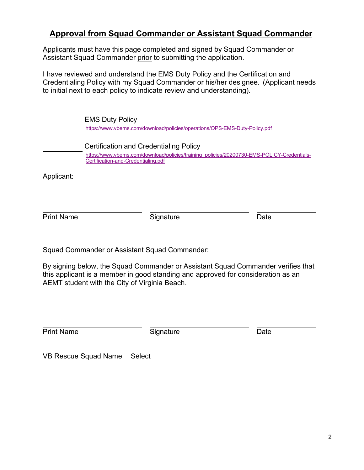## **Approval from Squad Commander or Assistant Squad Commander**

Applicants must have this page completed and signed by Squad Commander or Assistant Squad Commander prior to submitting the application.

I have reviewed and understand the EMS Duty Policy and the Certification and Credentialing Policy with my Squad Commander or his/her designee. (Applicant needs to initial next to each policy to indicate review and understanding).

EMS Duty Policy <https://www.vbems.com/download/policies/operations/OPS-EMS-Duty-Policy.pdf> Certification and Credentialing Policy [https://www.vbems.com/download/policies/training\\_policies/20200730-EMS-POLICY-Credentials-](https://www.vbems.com/download/policies/training_policies/20200730-EMS-POLICY-Credentials-Certification-and-Credentialing.pdf)[Certification-and-Credentialing.pdf](https://www.vbems.com/download/policies/training_policies/20200730-EMS-POLICY-Credentials-Certification-and-Credentialing.pdf)

Applicant:

**Print Name Signature Date** 

Squad Commander or Assistant Squad Commander:

By signing below, the Squad Commander or Assistant Squad Commander verifies that this applicant is a member in good standing and approved for consideration as an AEMT student with the City of Virginia Beach.

**Print Name Signature Contract Contract Date** 

VB Rescue Squad Name Select